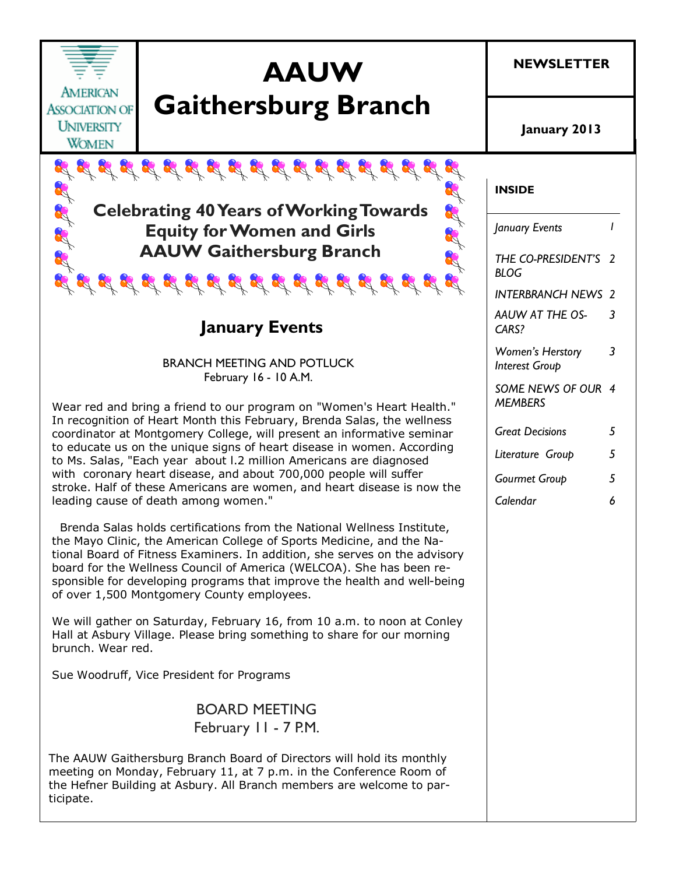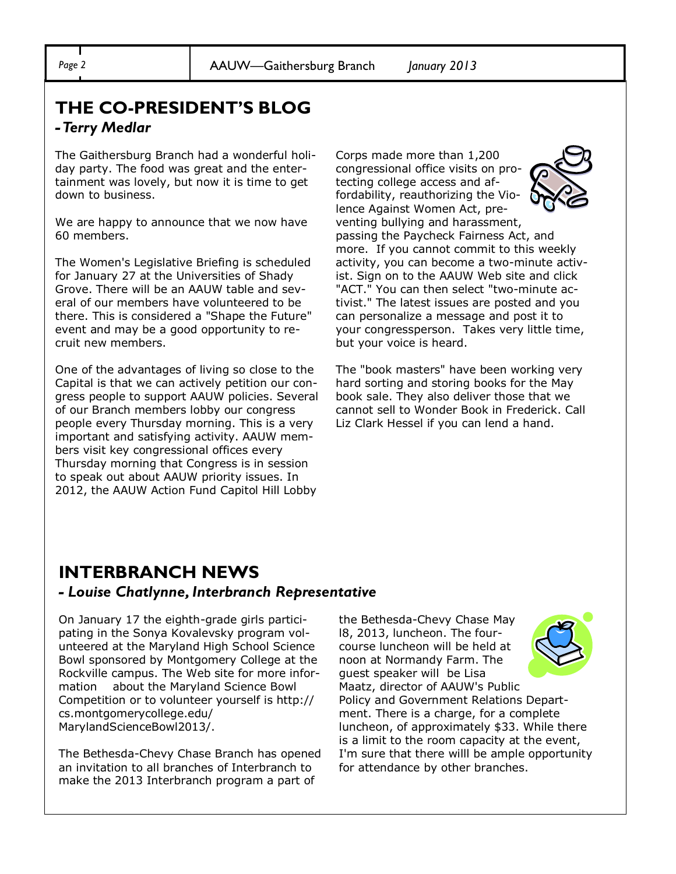### **THE CO-PRESIDENT'S BLOG** *-Terry Medlar*

The Gaithersburg Branch had a wonderful holiday party. The food was great and the entertainment was lovely, but now it is time to get down to business.

We are happy to announce that we now have 60 members.

The Women's Legislative Briefing is scheduled for January 27 at the Universities of Shady Grove. There will be an AAUW table and several of our members have volunteered to be there. This is considered a "Shape the Future" event and may be a good opportunity to recruit new members.

One of the advantages of living so close to the Capital is that we can actively petition our congress people to support AAUW policies. Several of our Branch members lobby our congress people every Thursday morning. This is a very important and satisfying activity. AAUW members visit key congressional offices every Thursday morning that Congress is in session to speak out about AAUW priority issues. In 2012, the AAUW Action Fund Capitol Hill Lobby

Corps made more than 1,200 congressional office visits on protecting college access and affordability, reauthorizing the Violence Against Women Act, preventing bullying and harassment, passing the Paycheck Fairness Act, and more. If you cannot commit to this weekly activity, you can become a two-minute activist. Sign on to the AAUW Web site and click "ACT." You can then select "two-minute activist." The latest issues are posted and you can personalize a message and post it to your congressperson. Takes very little time, but your voice is heard.

The "book masters" have been working very hard sorting and storing books for the May book sale. They also deliver those that we cannot sell to Wonder Book in Frederick. Call Liz Clark Hessel if you can lend a hand.

### **INTERBRANCH NEWS**

#### *- Louise Chatlynne, Interbranch Representative*

On January 17 the eighth-grade girls participating in the Sonya Kovalevsky program volunteered at the Maryland High School Science Bowl sponsored by Montgomery College at the Rockville campus. The Web site for more information about the Maryland Science Bowl Competition or to volunteer yourself is http:// cs.montgomerycollege.edu/ MarylandScienceBowl2013/.

The Bethesda-Chevy Chase Branch has opened an invitation to all branches of Interbranch to make the 2013 Interbranch program a part of

the Bethesda-Chevy Chase May l8, 2013, luncheon. The fourcourse luncheon will be held at noon at Normandy Farm. The guest speaker will be Lisa Maatz, director of AAUW's Public Policy and Government Relations Department. There is a charge, for a complete luncheon, of approximately \$33. While there is a limit to the room capacity at the event, I'm sure that there willl be ample opportunity for attendance by other branches.



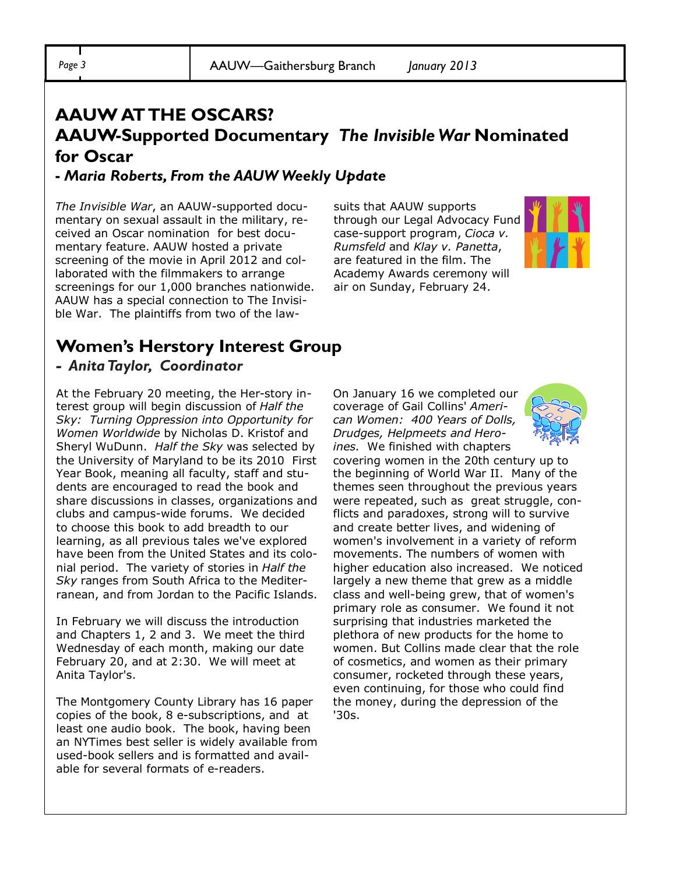## **AAUW AT THE OSCARS? AAUW-Supported Documentary** *The Invisible War* **Nominated for Oscar**

### **-** *Maria Roberts, From the AAUW Weekly Update*

*The Invisible War*, an AAUW-supported documentary on sexual assault in the military, received an Oscar nomination for best documentary feature. AAUW hosted a private screening of the movie in April 2012 and collaborated with the filmmakers to arrange screenings for our 1,000 branches nationwide. AAUW has a special connection to The Invisible War. The plaintiffs from two of the lawsuits that AAUW supports through our Legal Advocacy Fund case-support program, *Cioca v. Rumsfeld* and *Klay v. Panetta*, are featured in the film. The Academy Awards ceremony will air on Sunday, February 24.



### **Women's Herstory Interest Group** *- Anita Taylor, Coordinator*

At the February 20 meeting, the Her-story interest group will begin discussion of *Half the Sky: Turning Oppression into Opportunity for Women Worldwide* by Nicholas D. Kristof and Sheryl WuDunn. *Half the Sky* was selected by the University of Maryland to be its 2010 First Year Book, meaning all faculty, staff and students are encouraged to read the book and share discussions in classes, organizations and clubs and campus-wide forums. We decided to choose this book to add breadth to our learning, as all previous tales we've explored have been from the United States and its colonial period. The variety of stories in *Half the Sky* ranges from South Africa to the Mediterranean, and from Jordan to the Pacific Islands.

In February we will discuss the introduction and Chapters 1, 2 and 3. We meet the third Wednesday of each month, making our date February 20, and at 2:30. We will meet at Anita Taylor's.

The Montgomery County Library has 16 paper copies of the book, 8 e-subscriptions, and at least one audio book. The book, having been an NYTimes best seller is widely available from used-book sellers and is formatted and available for several formats of e-readers.

On January 16 we completed our coverage of Gail Collins' *American Women: 400 Years of Dolls, Drudges, Helpmeets and Heroines.* We finished with chapters



covering women in the 20th century up to the beginning of World War II. Many of the themes seen throughout the previous years were repeated, such as great struggle, conflicts and paradoxes, strong will to survive and create better lives, and widening of women's involvement in a variety of reform movements. The numbers of women with higher education also increased. We noticed largely a new theme that grew as a middle class and well-being grew, that of women's primary role as consumer. We found it not surprising that industries marketed the plethora of new products for the home to women. But Collins made clear that the role of cosmetics, and women as their primary consumer, rocketed through these years, even continuing, for those who could find the money, during the depression of the '30s.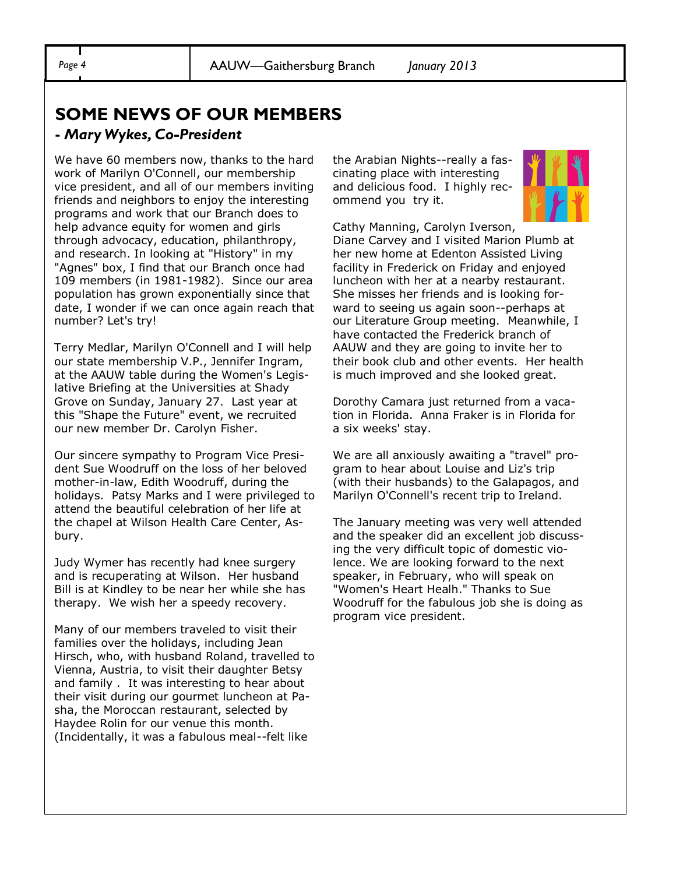### **SOME NEWS OF OUR MEMBERS**

### **-** *Mary Wykes, Co-President*

We have 60 members now, thanks to the hard work of Marilyn O'Connell, our membership vice president, and all of our members inviting friends and neighbors to enjoy the interesting programs and work that our Branch does to help advance equity for women and girls through advocacy, education, philanthropy, and research. In looking at "History" in my "Agnes" box, I find that our Branch once had 109 members (in 1981-1982). Since our area population has grown exponentially since that date, I wonder if we can once again reach that number? Let's try!

Terry Medlar, Marilyn O'Connell and I will help our state membership V.P., Jennifer Ingram, at the AAUW table during the Women's Legislative Briefing at the Universities at Shady Grove on Sunday, January 27. Last year at this "Shape the Future" event, we recruited our new member Dr. Carolyn Fisher.

Our sincere sympathy to Program Vice President Sue Woodruff on the loss of her beloved mother-in-law, Edith Woodruff, during the holidays. Patsy Marks and I were privileged to attend the beautiful celebration of her life at the chapel at Wilson Health Care Center, Asbury.

Judy Wymer has recently had knee surgery and is recuperating at Wilson. Her husband Bill is at Kindley to be near her while she has therapy. We wish her a speedy recovery.

Many of our members traveled to visit their families over the holidays, including Jean Hirsch, who, with husband Roland, travelled to Vienna, Austria, to visit their daughter Betsy and family . It was interesting to hear about their visit during our gourmet luncheon at Pasha, the Moroccan restaurant, selected by Haydee Rolin for our venue this month. (Incidentally, it was a fabulous meal--felt like

the Arabian Nights--really a fascinating place with interesting and delicious food. I highly recommend you try it.



Cathy Manning, Carolyn Iverson,

Diane Carvey and I visited Marion Plumb at her new home at Edenton Assisted Living facility in Frederick on Friday and enjoyed luncheon with her at a nearby restaurant. She misses her friends and is looking forward to seeing us again soon--perhaps at our Literature Group meeting. Meanwhile, I have contacted the Frederick branch of AAUW and they are going to invite her to their book club and other events. Her health is much improved and she looked great.

Dorothy Camara just returned from a vacation in Florida. Anna Fraker is in Florida for a six weeks' stay.

We are all anxiously awaiting a "travel" program to hear about Louise and Liz's trip (with their husbands) to the Galapagos, and Marilyn O'Connell's recent trip to Ireland.

The January meeting was very well attended and the speaker did an excellent job discussing the very difficult topic of domestic violence. We are looking forward to the next speaker, in February, who will speak on "Women's Heart Healh." Thanks to Sue Woodruff for the fabulous job she is doing as program vice president.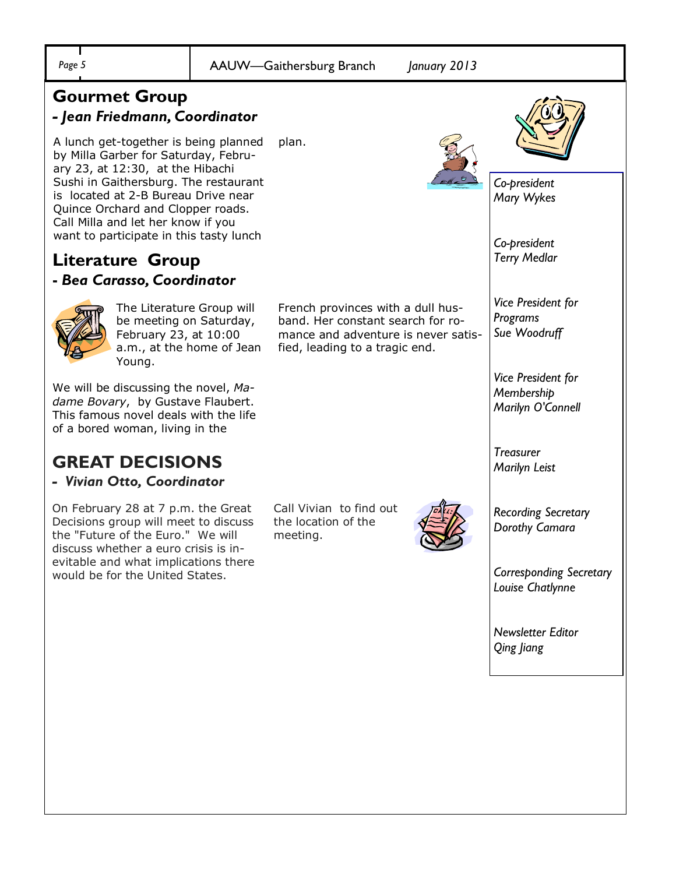| Page 5                                                                                                                                                                                                                                                                                                                  |                           | January 2013<br>AAUW-Gaithersburg Branch                                                                                                        |                                                       |
|-------------------------------------------------------------------------------------------------------------------------------------------------------------------------------------------------------------------------------------------------------------------------------------------------------------------------|---------------------------|-------------------------------------------------------------------------------------------------------------------------------------------------|-------------------------------------------------------|
| <b>Gourmet Group</b><br>- Jean Friedmann, Coordinator                                                                                                                                                                                                                                                                   |                           |                                                                                                                                                 |                                                       |
| A lunch get-together is being planned<br>by Milla Garber for Saturday, Febru-<br>ary 23, at 12:30, at the Hibachi<br>Sushi in Gaithersburg. The restaurant<br>is located at 2-B Bureau Drive near<br>Quince Orchard and Clopper roads.<br>Call Milla and let her know if you<br>want to participate in this tasty lunch |                           | plan.                                                                                                                                           | Co-president                                          |
|                                                                                                                                                                                                                                                                                                                         |                           |                                                                                                                                                 | Mary Wykes                                            |
| Literature Group<br>- Bea Carasso, Coordinator                                                                                                                                                                                                                                                                          |                           |                                                                                                                                                 | Co-president<br><b>Terry Medlar</b>                   |
| The Literature Group will<br>be meeting on Saturday,<br>February 23, at 10:00<br>Young.                                                                                                                                                                                                                                 | a.m., at the home of Jean | French provinces with a dull hus-<br>band. Her constant search for ro-<br>mance and adventure is never satis-<br>fied, leading to a tragic end. | Vice President for<br>Programs<br>Sue Woodruff        |
| We will be discussing the novel, Ma-<br>dame Bovary, by Gustave Flaubert.<br>This famous novel deals with the life<br>of a bored woman, living in the                                                                                                                                                                   |                           |                                                                                                                                                 | Vice President for<br>Membership<br>Marilyn O'Connell |
| <b>GREAT DECISIONS</b><br>- Vivian Otto, Coordinator                                                                                                                                                                                                                                                                    |                           |                                                                                                                                                 | <b>Treasurer</b><br>Marilyn Leist                     |
| On February 28 at 7 p.m. the Great<br>Decisions group will meet to discuss<br>the "Future of the Euro." We will<br>discuss whether a euro crisis is in-<br>evitable and what implications there<br>would be for the United States.                                                                                      |                           | Call Vivian to find out<br>the location of the<br>meeting.                                                                                      | <b>Recording Secretary</b><br>Dorothy Camara          |
|                                                                                                                                                                                                                                                                                                                         |                           |                                                                                                                                                 | <b>Corresponding Secretary</b><br>Louise Chatlynne    |
|                                                                                                                                                                                                                                                                                                                         |                           |                                                                                                                                                 | <b>Newsletter Editor</b><br>Qing Jiang                |
|                                                                                                                                                                                                                                                                                                                         |                           |                                                                                                                                                 |                                                       |
|                                                                                                                                                                                                                                                                                                                         |                           |                                                                                                                                                 |                                                       |
|                                                                                                                                                                                                                                                                                                                         |                           |                                                                                                                                                 |                                                       |